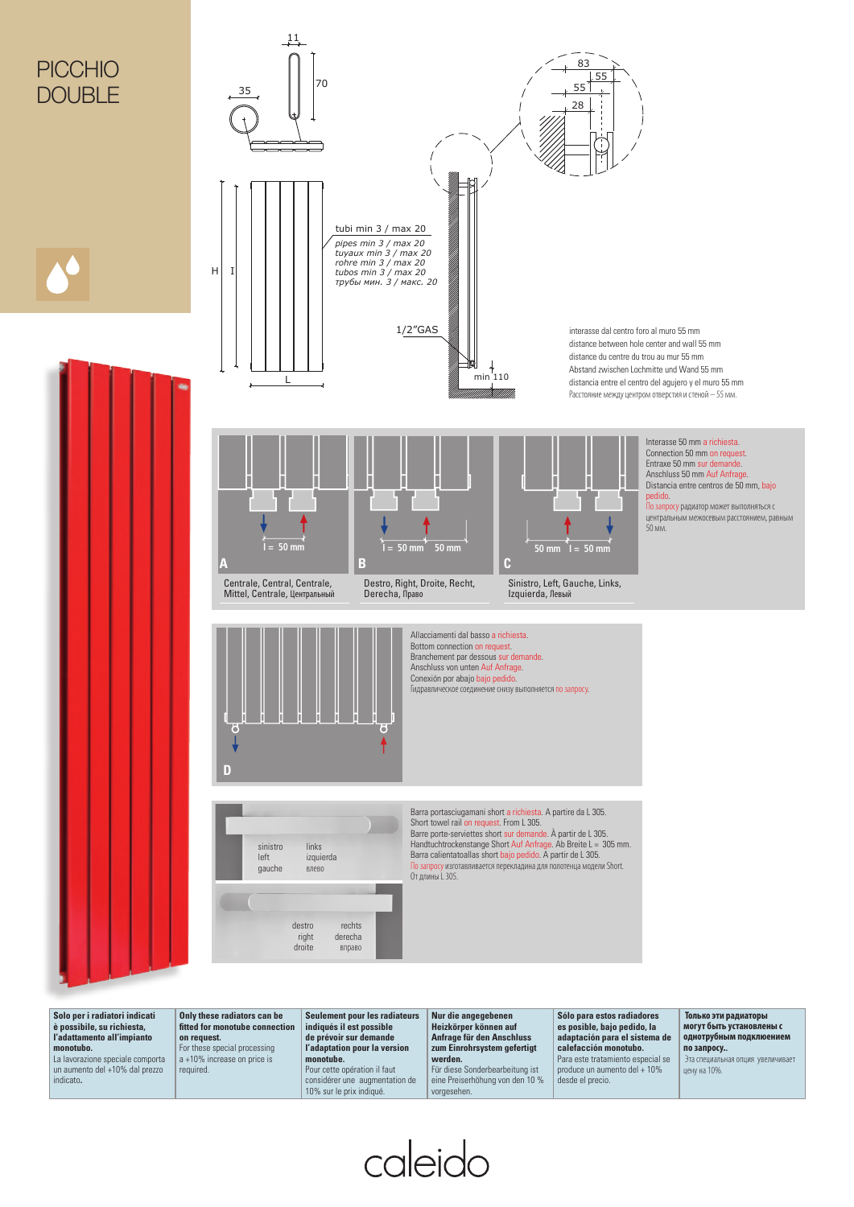## **PICCHIO** DOUBLE





**Solo per i radiatori indicati è possibile, su richiesta, l'adattamento all'impianto monotubo.** La lavorazione speciale comporta un aumento del +10% dal prezzo indicato**.**

**Only these radiators can be fi tted for monotube connection on request.** For these special processing a +10% increase on price is required.

**Seulement pour les radiateurs indiqués il est possible de prévoir sur demande l'adaptation pour la version monotube.** Pour cette opération il faut

considérer une augmentation de 10% sur le prix indiqué.

**Nur die angegebenen Heizkörper können auf Anfrage für den Anschluss zum Einrohrsystem gefertigt werden.**

Für diese Sonderbearbeitung ist eine Preiserhöhung von den 10 % vorgesehen.

caleido

**Sólo para estos radiadores es posible, bajo pedido, la adaptación para el sistema de calefacción monotubo.** Para este tratamiento especial se produce un aumento del + 10% desde el precio.

 **Только эти радиаторы могут быть установлены с однотрубным подклюением по запросу..** Эта специальная опция увеличивает цену на 10%.